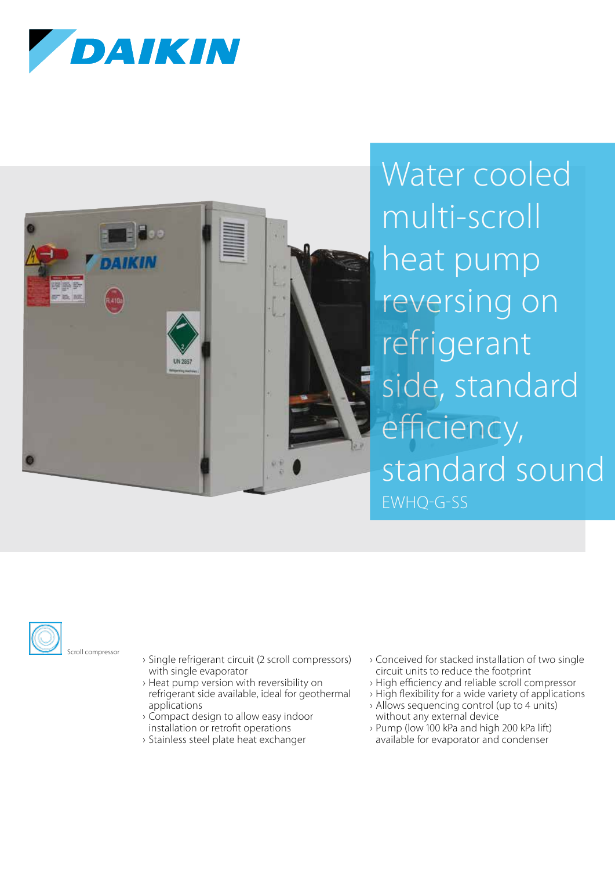



Water cooled multi-scroll heat pump reversing on refrigerant side, standard efficiency, standard sound EWHQ-G-SS



- › Single refrigerant circuit (2 scroll compressors) with single evaporator
- › Heat pump version with reversibility on refrigerant side available, ideal for geothermal applications
- › Compact design to allow easy indoor installation or retrofit operations
- › Stainless steel plate heat exchanger
- › Conceived for stacked installation of two single circuit units to reduce the footprint
- › High efficiency and reliable scroll compressor
- › High flexibility for a wide variety of applications
- › Allows sequencing control (up to units) without any external device
- › Pump (low 100 kPa and high 200 kPa lift) available for evaporator and condenser